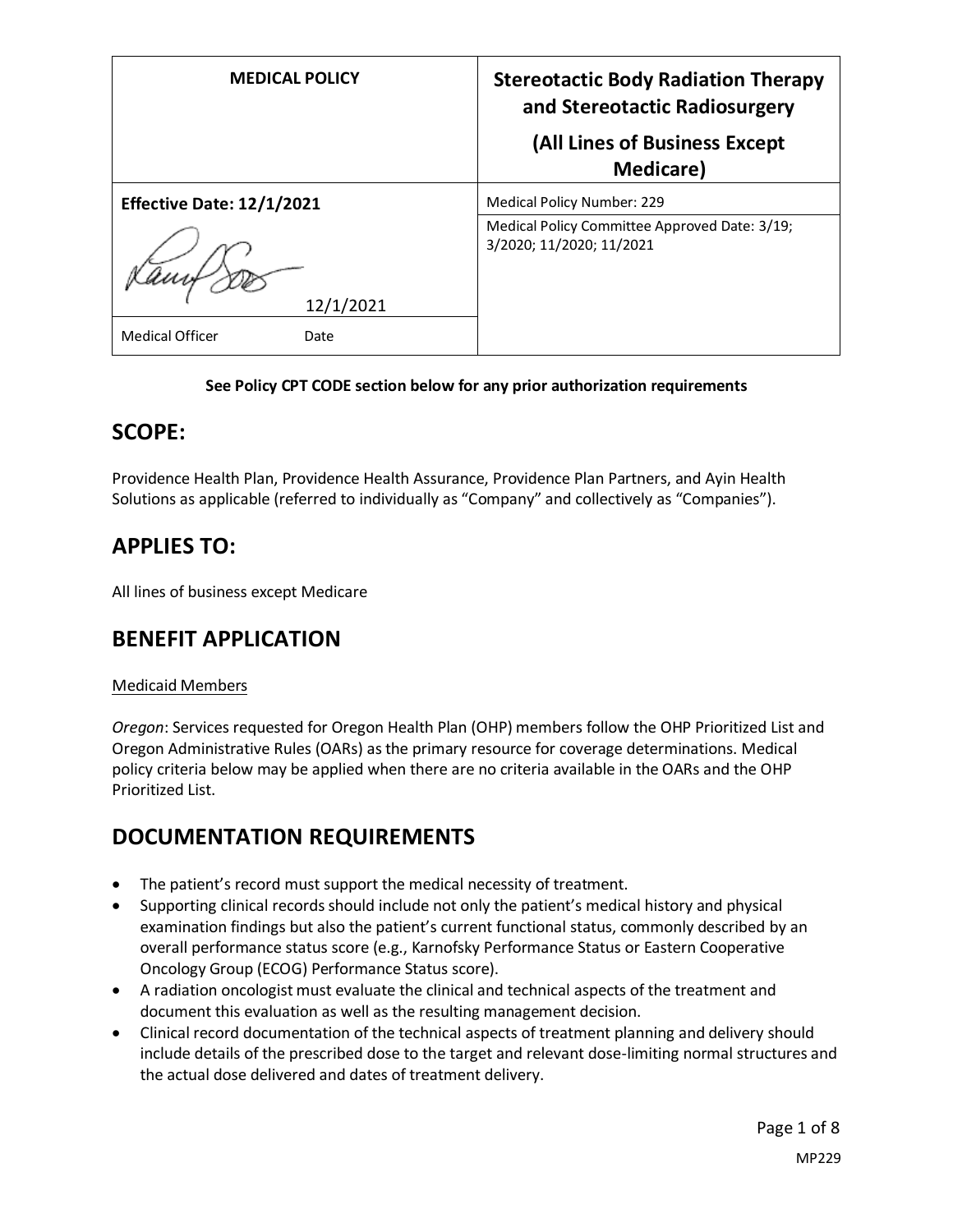| <b>MEDICAL POLICY</b>            | <b>Stereotactic Body Radiation Therapy</b><br>and Stereotactic Radiosurgery<br>(All Lines of Business Except |  |  |
|----------------------------------|--------------------------------------------------------------------------------------------------------------|--|--|
|                                  | Medicare)                                                                                                    |  |  |
| <b>Effective Date: 12/1/2021</b> | <b>Medical Policy Number: 229</b>                                                                            |  |  |
|                                  | Medical Policy Committee Approved Date: 3/19;<br>3/2020; 11/2020; 11/2021                                    |  |  |
| 12/1/2021                        |                                                                                                              |  |  |
| <b>Medical Officer</b><br>Date   |                                                                                                              |  |  |

#### **See Policy CPT CODE section below for any prior authorization requirements**

### **SCOPE:**

Providence Health Plan, Providence Health Assurance, Providence Plan Partners, and Ayin Health Solutions as applicable (referred to individually as "Company" and collectively as "Companies").

# **APPLIES TO:**

All lines of business except Medicare

## **BENEFIT APPLICATION**

#### Medicaid Members

*Oregon*: Services requested for Oregon Health Plan (OHP) members follow the OHP Prioritized List and Oregon Administrative Rules (OARs) as the primary resource for coverage determinations. Medical policy criteria below may be applied when there are no criteria available in the OARs and the OHP Prioritized List.

# **DOCUMENTATION REQUIREMENTS**

- The patient's record must support the medical necessity of treatment.
- Supporting clinical records should include not only the patient's medical history and physical examination findings but also the patient's current functional status, commonly described by an overall performance status score (e.g., Karnofsky Performance Status or Eastern Cooperative Oncology Group (ECOG) Performance Status score).
- A radiation oncologist must evaluate the clinical and technical aspects of the treatment and document this evaluation as well as the resulting management decision.
- Clinical record documentation of the technical aspects of treatment planning and delivery should include details of the prescribed dose to the target and relevant dose-limiting normal structures and the actual dose delivered and dates of treatment delivery.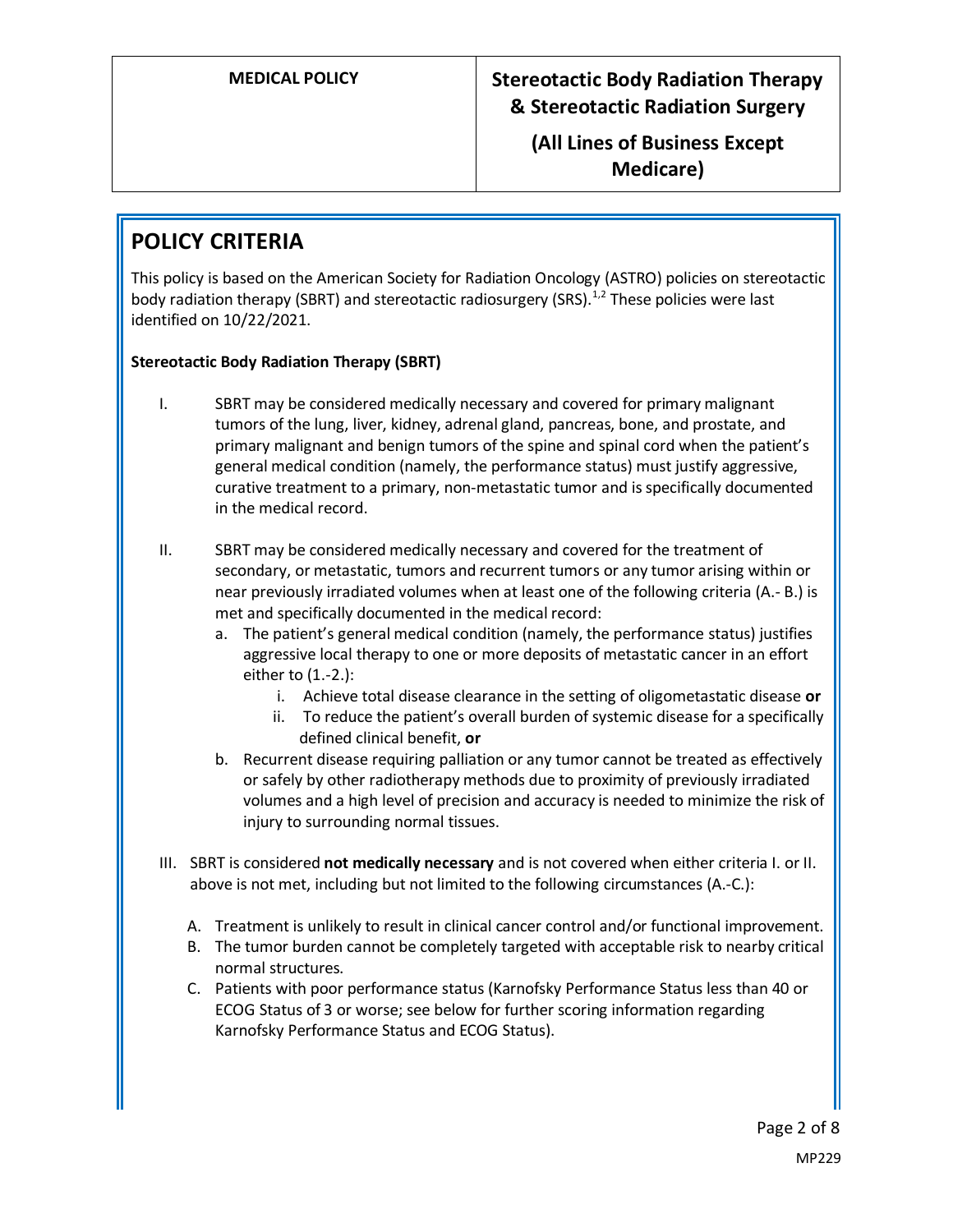**(All Lines of Business Except Medicare)**

# **POLICY CRITERIA**

This policy is based on the American Society for Radiation Oncology (ASTRO) policies on stereotactic body radiation therapy (SBRT) and stereotactic radiosurgery (SRS). $1/2$  These policies were last identified on 10/22/2021.

#### **Stereotactic Body Radiation Therapy (SBRT)**

- I. SBRT may be considered medically necessary and covered for primary malignant tumors of the lung, liver, kidney, adrenal gland, pancreas, bone, and prostate, and primary malignant and benign tumors of the spine and spinal cord when the patient's general medical condition (namely, the performance status) must justify aggressive, curative treatment to a primary, non-metastatic tumor and is specifically documented in the medical record.
- II. SBRT may be considered medically necessary and covered for the treatment of secondary, or metastatic, tumors and recurrent tumors or any tumor arising within or near previously irradiated volumes when at least one of the following criteria (A.- B.) is met and specifically documented in the medical record:
	- a. The patient's general medical condition (namely, the performance status) justifies aggressive local therapy to one or more deposits of metastatic cancer in an effort either to (1.-2.):
		- i. Achieve total disease clearance in the setting of oligometastatic disease **or**
		- ii. To reduce the patient's overall burden of systemic disease for a specifically defined clinical benefit, **or**
	- b. Recurrent disease requiring palliation or any tumor cannot be treated as effectively or safely by other radiotherapy methods due to proximity of previously irradiated volumes and a high level of precision and accuracy is needed to minimize the risk of injury to surrounding normal tissues.
- III. SBRT is considered **not medically necessary** and is not covered when either criteria I. or II. above is not met, including but not limited to the following circumstances (A.-C.):
	- A. Treatment is unlikely to result in clinical cancer control and/or functional improvement.
	- B. The tumor burden cannot be completely targeted with acceptable risk to nearby critical normal structures.
	- C. Patients with poor performance status (Karnofsky Performance Status less than 40 or ECOG Status of 3 or worse; see below for further scoring information regarding Karnofsky Performance Status and ECOG Status).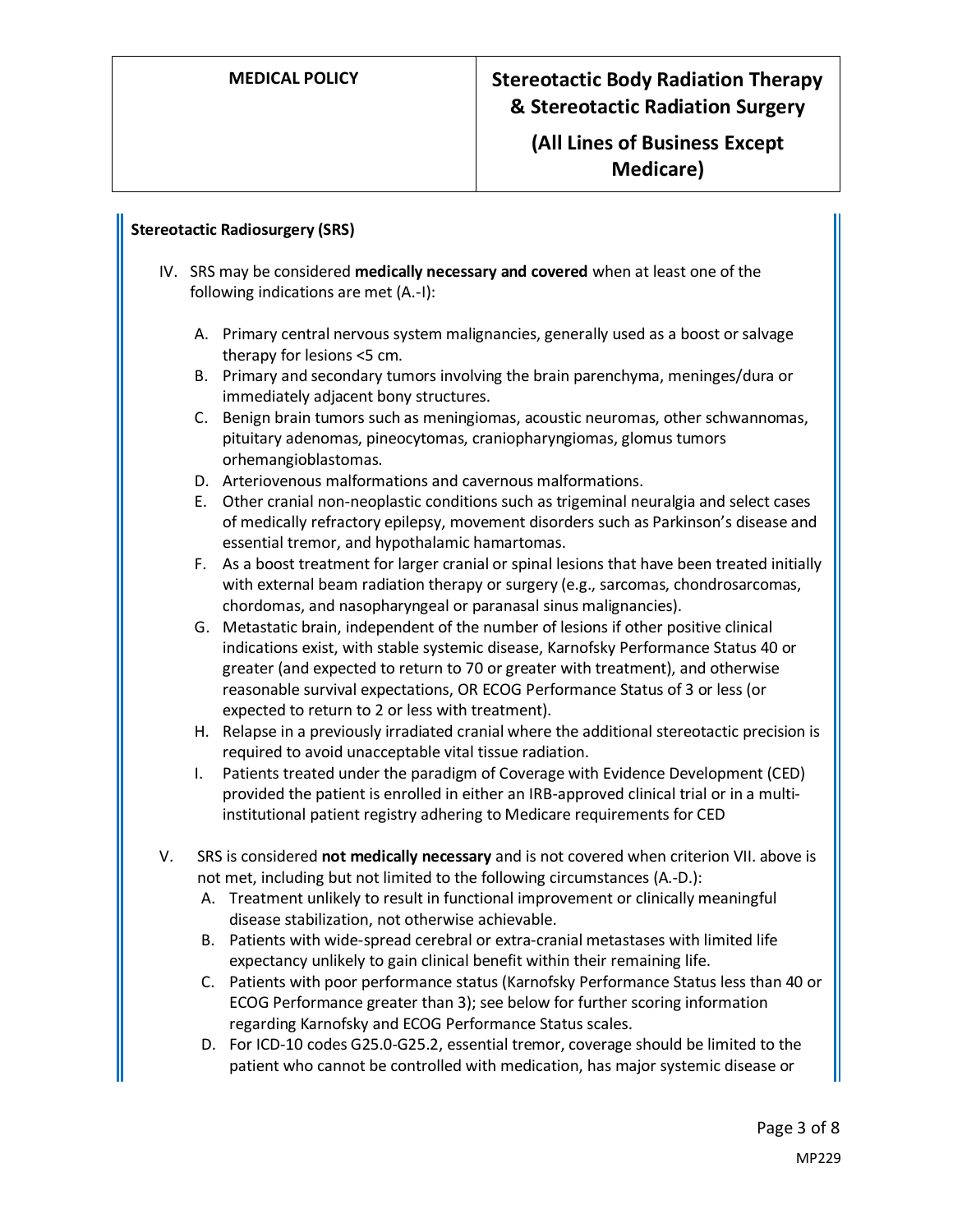### **(All Lines of Business Except Medicare)**

#### **Stereotactic Radiosurgery (SRS)**

- IV. SRS may be considered **medically necessary and covered** when at least one of the following indications are met (A.-I):
	- A. Primary central nervous system malignancies, generally used as a boost or salvage therapy for lesions <5 cm.
	- B. Primary and secondary tumors involving the brain parenchyma, meninges/dura or immediately adjacent bony structures.
	- C. Benign brain tumors such as meningiomas, acoustic neuromas, other schwannomas, pituitary adenomas, pineocytomas, craniopharyngiomas, glomus tumors orhemangioblastomas.
	- D. Arteriovenous malformations and cavernous malformations.
	- E. Other cranial non-neoplastic conditions such as trigeminal neuralgia and select cases of medically refractory epilepsy, movement disorders such as Parkinson's disease and essential tremor, and hypothalamic hamartomas.
	- F. As a boost treatment for larger cranial or spinal lesions that have been treated initially with external beam radiation therapy or surgery (e.g., sarcomas, chondrosarcomas, chordomas, and nasopharyngeal or paranasal sinus malignancies).
	- G. Metastatic brain, independent of the number of lesions if other positive clinical indications exist, with stable systemic disease, Karnofsky Performance Status 40 or greater (and expected to return to 70 or greater with treatment), and otherwise reasonable survival expectations, OR ECOG Performance Status of 3 or less (or expected to return to 2 or less with treatment).
	- H. Relapse in a previously irradiated cranial where the additional stereotactic precision is required to avoid unacceptable vital tissue radiation.
	- I. Patients treated under the paradigm of Coverage with Evidence Development (CED) provided the patient is enrolled in either an IRB-approved clinical trial or in a multiinstitutional patient registry adhering to Medicare requirements for CED
- V. SRS is considered **not medically necessary** and is not covered when criterion VII. above is not met, including but not limited to the following circumstances (A.-D.):
	- A. Treatment unlikely to result in functional improvement or clinically meaningful disease stabilization, not otherwise achievable.
	- B. Patients with wide-spread cerebral or extra-cranial metastases with limited life expectancy unlikely to gain clinical benefit within their remaining life.
	- C. Patients with poor performance status (Karnofsky Performance Status less than 40 or ECOG Performance greater than 3); see below for further scoring information regarding Karnofsky and ECOG Performance Status scales.
	- D. For ICD-10 codes G25.0-G25.2, essential tremor, coverage should be limited to the patient who cannot be controlled with medication, has major systemic disease or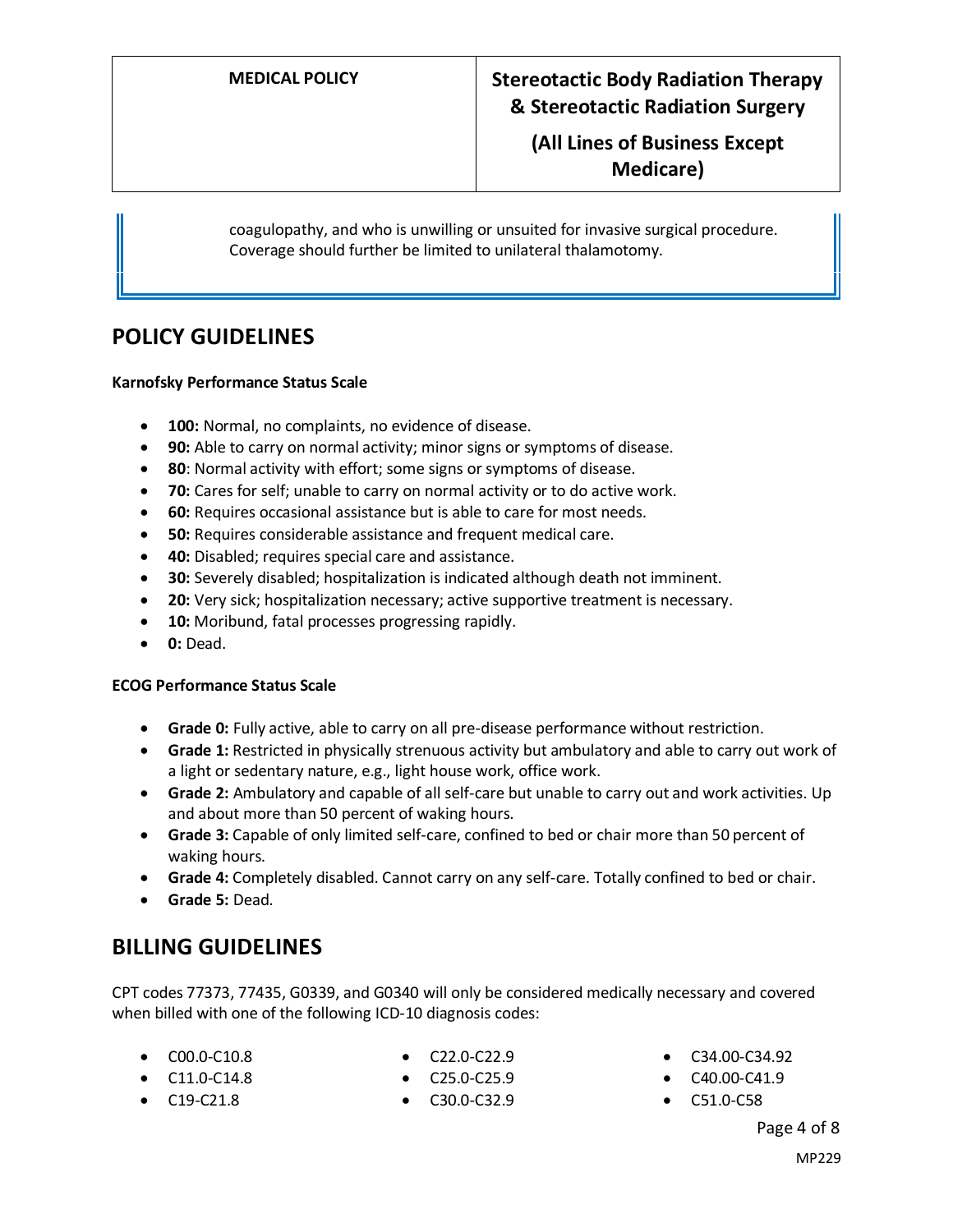**(All Lines of Business Except Medicare)**

coagulopathy, and who is unwilling or unsuited for invasive surgical procedure. Coverage should further be limited to unilateral thalamotomy.

### **POLICY GUIDELINES**

#### **Karnofsky Performance Status Scale**

- **100:** Normal, no complaints, no evidence of disease.
- **90:** Able to carry on normal activity; minor signs or symptoms of disease.
- **80**: Normal activity with effort; some signs or symptoms of disease.
- **70:** Cares for self; unable to carry on normal activity or to do active work.
- **60:** Requires occasional assistance but is able to care for most needs.
- **50:** Requires considerable assistance and frequent medical care.
- **40:** Disabled; requires special care and assistance.
- **30:** Severely disabled; hospitalization is indicated although death not imminent.
- **20:** Very sick; hospitalization necessary; active supportive treatment is necessary.
- **10:** Moribund, fatal processes progressing rapidly.
- **0:** Dead.

#### **ECOG Performance Status Scale**

- **Grade 0:** Fully active, able to carry on all pre-disease performance without restriction.
- **Grade 1:** Restricted in physically strenuous activity but ambulatory and able to carry out work of a light or sedentary nature, e.g., light house work, office work.
- **Grade 2:** Ambulatory and capable of all self-care but unable to carry out and work activities. Up and about more than 50 percent of waking hours.
- **Grade 3:** Capable of only limited self-care, confined to bed or chair more than 50 percent of waking hours.
- **Grade 4:** Completely disabled. Cannot carry on any self-care. Totally confined to bed or chair.
- **Grade 5:** Dead.

#### **BILLING GUIDELINES**

CPT codes 77373, 77435, G0339, and G0340 will only be considered medically necessary and covered when billed with one of the following ICD-10 diagnosis codes:

• C00.0-C10.8

• C19-C21.8

• C22.0-C22.9

- C34.00-C34.92
- C40.00-C41.9
- C51.0-C58

# Page 4 of 8

- C11.0-C14.8
- C25.0-C25.9
- C30.0-C32.9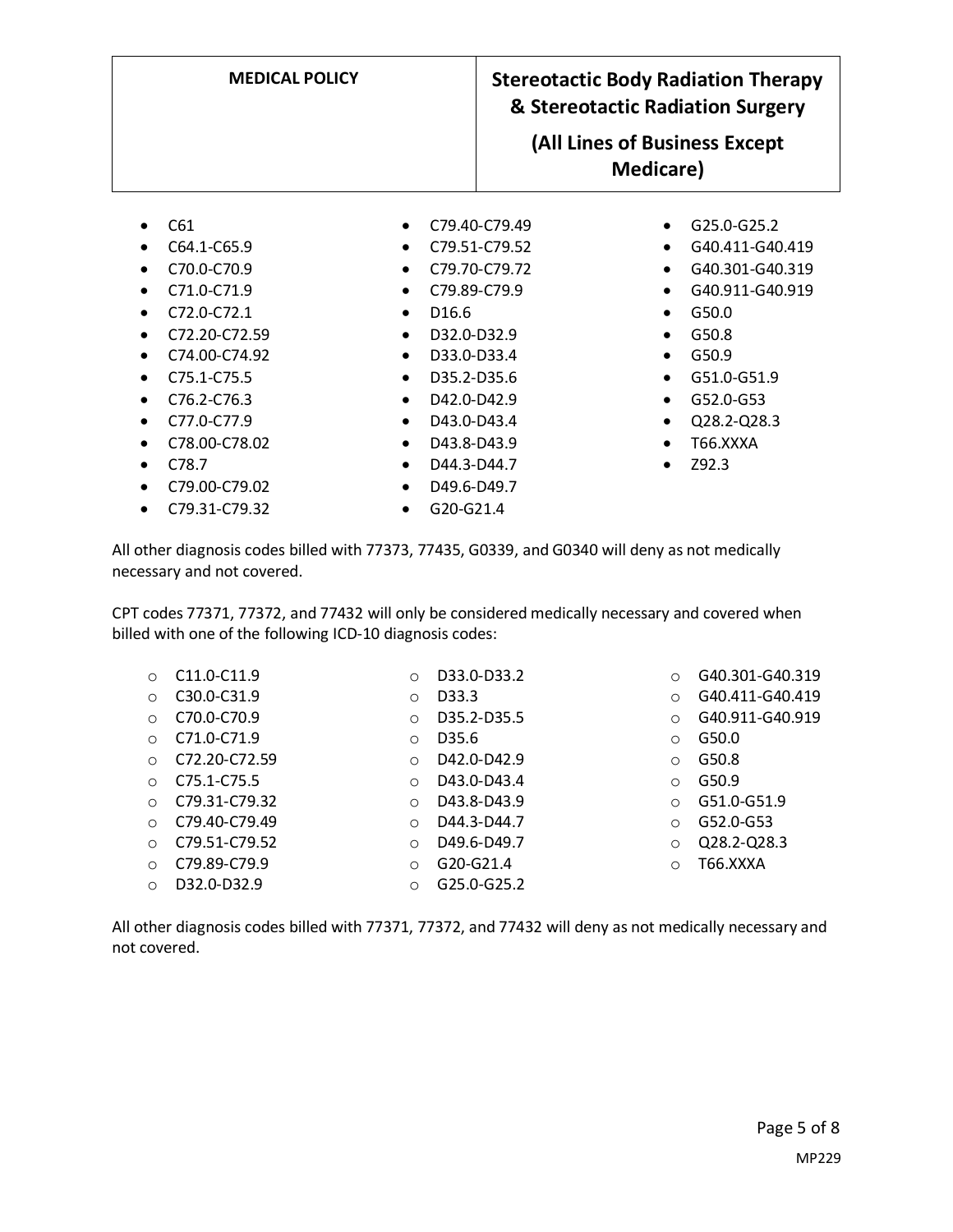| <b>MEDICAL POLICY</b>                  |                                        | <b>Stereotactic Body Radiation Therapy</b><br>& Stereotactic Radiation Surgery |
|----------------------------------------|----------------------------------------|--------------------------------------------------------------------------------|
|                                        |                                        | (All Lines of Business Except<br>Medicare)                                     |
| C61                                    | C <sub>79</sub> .40-C <sub>79.49</sub> | G25.0-G25.2<br>$\bullet$                                                       |
| C64.1-C65.9                            | C <sub>79.51</sub> -C <sub>79.52</sub> | G40.411-G40.419                                                                |
| C70.0-C70.9<br>C71.0-C71.9             | C79.70-C79.72<br>C79.89-C79.9          | G40.301-G40.319<br>G40.911-G40.919                                             |
| $C$ 72.0- $C$ 72.1                     | D <sub>16.6</sub>                      | G50.0                                                                          |
| C <sub>72.20</sub> -C <sub>72.59</sub> | D32.0-D32.9<br>$\bullet$               | G <sub>50.8</sub><br>$\bullet$                                                 |
| C74.00-C74.92                          | D33.0-D33.4                            | G50.9                                                                          |
| C75.1-C75.5                            | D35.2-D35.6                            | G51.0-G51.9                                                                    |
| C76.2-C76.3                            | D42.0-D42.9                            | G52.0-G53                                                                      |
| C77.0-C77.9                            | D43.0-D43.4                            | Q28.2-Q28.3                                                                    |
| C78.00-C78.02                          | D43.8-D43.9<br>$\bullet$               | T66.XXXA                                                                       |
| C78.7                                  | D44.3-D44.7                            | Z92.3                                                                          |
| C79.00-C79.02                          | D49.6-D49.7                            |                                                                                |
| C79.31-C79.32                          | G20-G21.4                              |                                                                                |

All other diagnosis codes billed with 77373, 77435, G0339, and G0340 will deny as not medically necessary and not covered.

CPT codes 77371, 77372, and 77432 will only be considered medically necessary and covered when billed with one of the following ICD-10 diagnosis codes:

| $\bigcirc$ | C <sub>11.0</sub> -C <sub>11.9</sub> | $\circ$  | D33.0-D33.2 | $\circ$ | G40.301-G40.319 |
|------------|--------------------------------------|----------|-------------|---------|-----------------|
| $\circ$    | C30.0-C31.9                          | $\circ$  | D33.3       | $\circ$ | G40.411-G40.419 |
| ∩          | C70.0-C70.9                          | $\Omega$ | D35.2-D35.5 | $\circ$ | G40.911-G40.919 |
| $\bigcirc$ | C71.0-C71.9                          | $\Omega$ | D35.6       | $\circ$ | G50.0           |
| $\bigcirc$ | C72.20-C72.59                        | $\Omega$ | D42.0-D42.9 | $\circ$ | G50.8           |
| $\bigcirc$ | C <sub>75.1</sub> -C <sub>75.5</sub> | $\Omega$ | D43.0-D43.4 | $\circ$ | G50.9           |
| $\bigcirc$ | C79.31-C79.32                        | $\Omega$ | D43.8-D43.9 | $\circ$ | G51.0-G51.9     |
| $\bigcirc$ | C79.40-C79.49                        | $\Omega$ | D44.3-D44.7 | $\circ$ | G52.0-G53       |
| $\circ$    | C79.51-C79.52                        | $\Omega$ | D49.6-D49.7 | $\circ$ | Q28.2-Q28.3     |
| $\bigcirc$ | C79.89-C79.9                         | $\Omega$ | G20-G21.4   | O       | T66.XXXA        |
| $\circ$    | D32.0-D32.9                          | Ω        | G25.0-G25.2 |         |                 |

All other diagnosis codes billed with 77371, 77372, and 77432 will deny as not medically necessary and not covered.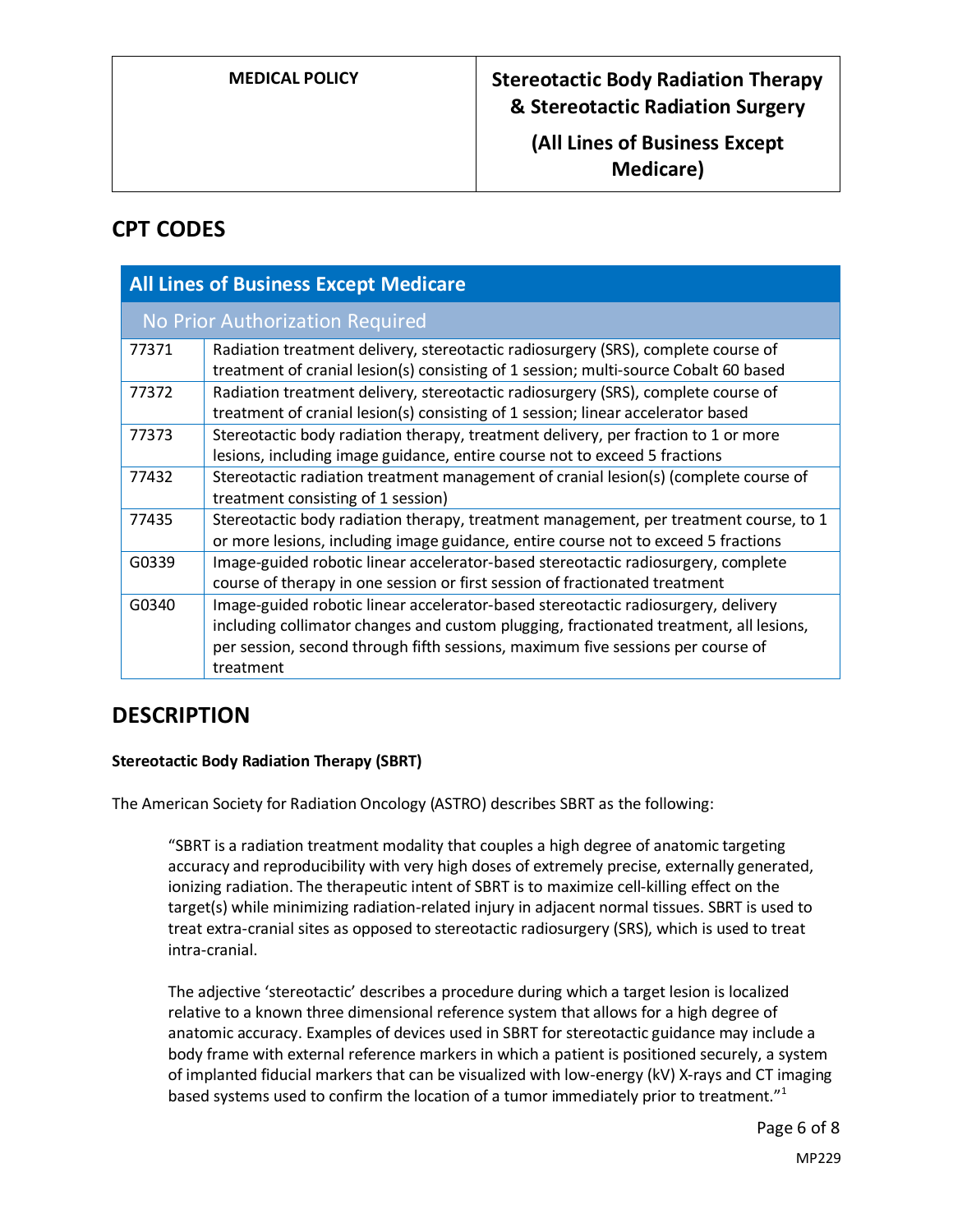**(All Lines of Business Except Medicare)**

# **CPT CODES**

| <b>All Lines of Business Except Medicare</b> |                                                                                                                                                                                                                                                                             |  |  |  |  |  |
|----------------------------------------------|-----------------------------------------------------------------------------------------------------------------------------------------------------------------------------------------------------------------------------------------------------------------------------|--|--|--|--|--|
| No Prior Authorization Required              |                                                                                                                                                                                                                                                                             |  |  |  |  |  |
| 77371                                        | Radiation treatment delivery, stereotactic radiosurgery (SRS), complete course of<br>treatment of cranial lesion(s) consisting of 1 session; multi-source Cobalt 60 based                                                                                                   |  |  |  |  |  |
| 77372                                        | Radiation treatment delivery, stereotactic radiosurgery (SRS), complete course of<br>treatment of cranial lesion(s) consisting of 1 session; linear accelerator based                                                                                                       |  |  |  |  |  |
| 77373                                        | Stereotactic body radiation therapy, treatment delivery, per fraction to 1 or more<br>lesions, including image guidance, entire course not to exceed 5 fractions                                                                                                            |  |  |  |  |  |
| 77432                                        | Stereotactic radiation treatment management of cranial lesion(s) (complete course of<br>treatment consisting of 1 session)                                                                                                                                                  |  |  |  |  |  |
| 77435                                        | Stereotactic body radiation therapy, treatment management, per treatment course, to 1<br>or more lesions, including image guidance, entire course not to exceed 5 fractions                                                                                                 |  |  |  |  |  |
| G0339                                        | Image-guided robotic linear accelerator-based stereotactic radiosurgery, complete<br>course of therapy in one session or first session of fractionated treatment                                                                                                            |  |  |  |  |  |
| G0340                                        | Image-guided robotic linear accelerator-based stereotactic radiosurgery, delivery<br>including collimator changes and custom plugging, fractionated treatment, all lesions,<br>per session, second through fifth sessions, maximum five sessions per course of<br>treatment |  |  |  |  |  |

## **DESCRIPTION**

#### **Stereotactic Body Radiation Therapy (SBRT)**

The American Society for Radiation Oncology (ASTRO) describes SBRT as the following:

"SBRT is a radiation treatment modality that couples a high degree of anatomic targeting accuracy and reproducibility with very high doses of extremely precise, externally generated, ionizing radiation. The therapeutic intent of SBRT is to maximize cell-killing effect on the target(s) while minimizing radiation-related injury in adjacent normal tissues. SBRT is used to treat extra-cranial sites as opposed to stereotactic radiosurgery (SRS), which is used to treat intra-cranial.

The adjective 'stereotactic' describes a procedure during which a target lesion is localized relative to a known three dimensional reference system that allows for a high degree of anatomic accuracy. Examples of devices used in SBRT for stereotactic guidance may include a body frame with external reference markers in which a patient is positioned securely, a system of implanted fiducial markers that can be visualized with low-energy (kV) X-rays and CT imaging based systems used to confirm the location of a tumor immediately prior to treatment."<sup>1</sup>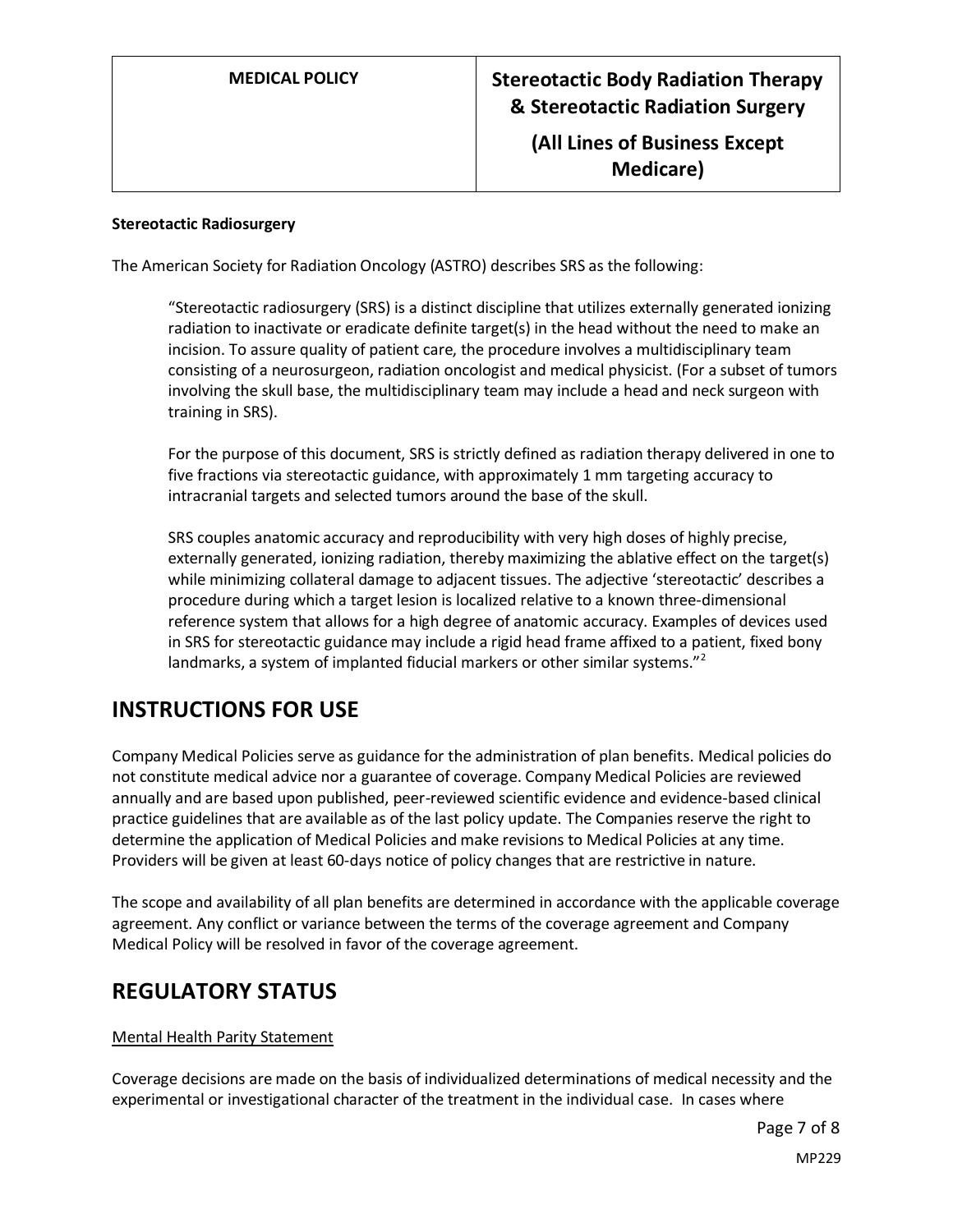## **(All Lines of Business Except Medicare)**

#### **Stereotactic Radiosurgery**

The American Society for Radiation Oncology (ASTRO) describes SRS as the following:

"Stereotactic radiosurgery (SRS) is a distinct discipline that utilizes externally generated ionizing radiation to inactivate or eradicate definite target(s) in the head without the need to make an incision. To assure quality of patient care, the procedure involves a multidisciplinary team consisting of a neurosurgeon, radiation oncologist and medical physicist. (For a subset of tumors involving the skull base, the multidisciplinary team may include a head and neck surgeon with training in SRS).

For the purpose of this document, SRS is strictly defined as radiation therapy delivered in one to five fractions via stereotactic guidance, with approximately 1 mm targeting accuracy to intracranial targets and selected tumors around the base of the skull.

SRS couples anatomic accuracy and reproducibility with very high doses of highly precise, externally generated, ionizing radiation, thereby maximizing the ablative effect on the target(s) while minimizing collateral damage to adjacent tissues. The adjective 'stereotactic' describes a procedure during which a target lesion is localized relative to a known three-dimensional reference system that allows for a high degree of anatomic accuracy. Examples of devices used in SRS for stereotactic guidance may include a rigid head frame affixed to a patient, fixed bony landmarks, a system of implanted fiducial markers or other similar systems."<sup>2</sup>

## **INSTRUCTIONS FOR USE**

Company Medical Policies serve as guidance for the administration of plan benefits. Medical policies do not constitute medical advice nor a guarantee of coverage. Company Medical Policies are reviewed annually and are based upon published, peer-reviewed scientific evidence and evidence-based clinical practice guidelines that are available as of the last policy update. The Companies reserve the right to determine the application of Medical Policies and make revisions to Medical Policies at any time. Providers will be given at least 60-days notice of policy changes that are restrictive in nature.

The scope and availability of all plan benefits are determined in accordance with the applicable coverage agreement. Any conflict or variance between the terms of the coverage agreement and Company Medical Policy will be resolved in favor of the coverage agreement.

## **REGULATORY STATUS**

#### Mental Health Parity Statement

Coverage decisions are made on the basis of individualized determinations of medical necessity and the experimental or investigational character of the treatment in the individual case. In cases where